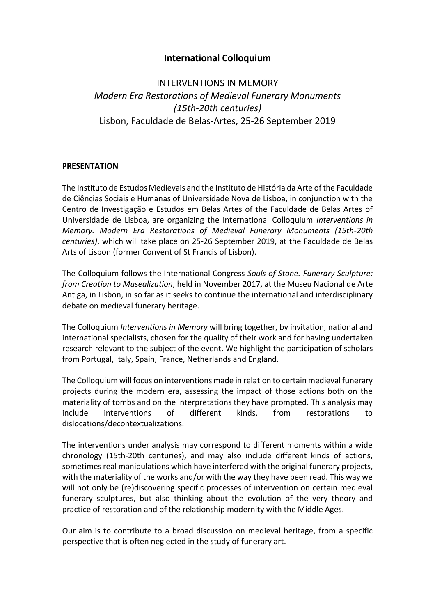## **International Colloquium**

# INTERVENTIONS IN MEMORY *Modern Era Restorations of Medieval Funerary Monuments (15th-20th centuries)* Lisbon, Faculdade de Belas-Artes, 25-26 September 2019

#### **PRESENTATION**

The Instituto de Estudos Medievais and the Instituto de História da Arte of the Faculdade de Ciências Sociais e Humanas of Universidade Nova de Lisboa, in conjunction with the Centro de Investigação e Estudos em Belas Artes of the Faculdade de Belas Artes of Universidade de Lisboa, are organizing the International Colloquium *Interventions in Memory. Modern Era Restorations of Medieval Funerary Monuments (15th-20th centuries)*, which will take place on 25-26 September 2019, at the Faculdade de Belas Arts of Lisbon (former Convent of St Francis of Lisbon).

The Colloquium follows the International Congress *Souls of Stone. Funerary Sculpture: from Creation to Musealization*, held in November 2017, at the Museu Nacional de Arte Antiga, in Lisbon, in so far as it seeks to continue the international and interdisciplinary debate on medieval funerary heritage.

The Colloquium *Interventions in Memory* will bring together, by invitation, national and international specialists, chosen for the quality of their work and for having undertaken research relevant to the subject of the event. We highlight the participation of scholars from Portugal, Italy, Spain, France, Netherlands and England.

The Colloquium will focus on interventions made in relation to certain medieval funerary projects during the modern era, assessing the impact of those actions both on the materiality of tombs and on the interpretations they have prompted. This analysis may include interventions of different kinds, from restorations to dislocations/decontextualizations.

The interventions under analysis may correspond to different moments within a wide chronology (15th-20th centuries), and may also include different kinds of actions, sometimes real manipulations which have interfered with the original funerary projects, with the materiality of the works and/or with the way they have been read. This way we will not only be (re)discovering specific processes of intervention on certain medieval funerary sculptures, but also thinking about the evolution of the very theory and practice of restoration and of the relationship modernity with the Middle Ages.

Our aim is to contribute to a broad discussion on medieval heritage, from a specific perspective that is often neglected in the study of funerary art.